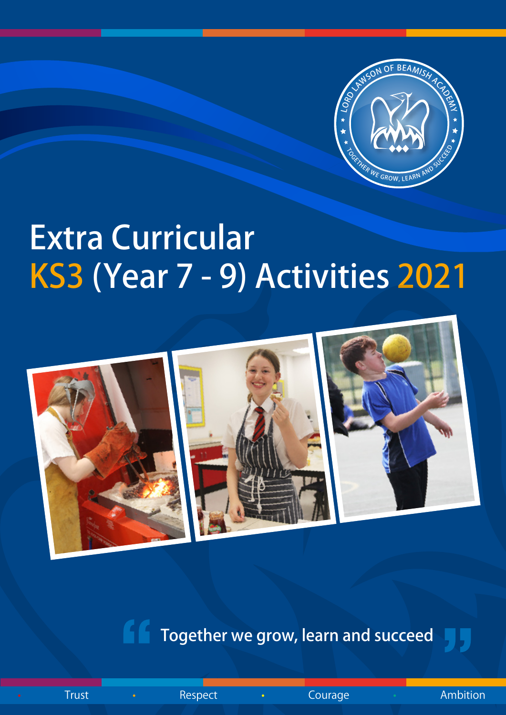

## Extra Curricular KS3 (Year 7 - 9) Activities 2021



66 Together we grow, learn and succeed

• Trust • Respect • Courage • Ambition

-95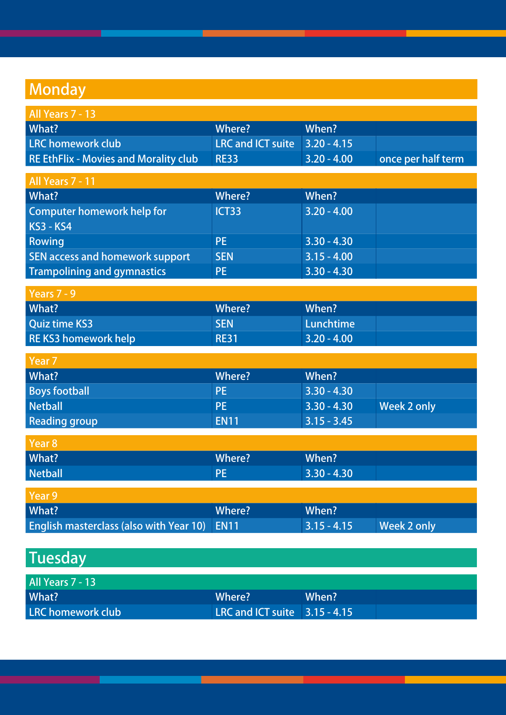## **Monday**

| All Years 7 - 13                             |                                      |               |                    |
|----------------------------------------------|--------------------------------------|---------------|--------------------|
| What?                                        | Where?                               | When?         |                    |
| LRC homework club                            | <b>LRC</b> and ICT suite 3.20 - 4.15 |               |                    |
| <b>RE EthFlix - Movies and Morality club</b> | <b>RE33</b>                          | $3.20 - 4.00$ | once per half term |

| All Years 7 - 11                       |                   |               |  |  |
|----------------------------------------|-------------------|---------------|--|--|
| What?                                  | Where?            | When?         |  |  |
| Computer homework help for             | ICT <sub>33</sub> | $3.20 - 4.00$ |  |  |
| <b>KS3 - KS4</b>                       |                   |               |  |  |
| Rowing                                 | <b>PE</b>         | $3.30 - 4.30$ |  |  |
| <b>SEN access and homework support</b> | <b>SEN</b>        | $3.15 - 4.00$ |  |  |
| <b>Trampolining and gymnastics</b>     | <b>PE</b>         | $3.30 - 4.30$ |  |  |

| Years 7 - 9                 |             |               |  |
|-----------------------------|-------------|---------------|--|
| What?                       | Where?      | When?         |  |
| <b>Ouiz time KS3</b>        | <b>SEN</b>  | Lunchtime     |  |
| <b>RE KS3 homework help</b> | <b>RE31</b> | $3.20 - 4.00$ |  |

| Year 7               |             |               |             |
|----------------------|-------------|---------------|-------------|
| What?                | Where?      | When?         |             |
| <b>Boys football</b> | PE.         | $3.30 - 4.30$ |             |
| <b>Netball</b>       | 'PE.        | $3.30 - 4.30$ | Week 2 only |
| <b>Reading group</b> | <b>EN11</b> | $3.15 - 3.45$ |             |

| Year 8         |           |               |
|----------------|-----------|---------------|
| What?          | Where?    | When?         |
| <b>Netball</b> | <b>PE</b> | $3.30 - 4.30$ |

| Year 9                                              |        |               |                    |
|-----------------------------------------------------|--------|---------------|--------------------|
| What?                                               | Where? | When?         |                    |
| <b>English masterclass (also with Year 10) EN11</b> |        | $3.15 - 4.15$ | <b>Week 2 only</b> |

| <b>Tuesday</b>           |                                 |       |  |
|--------------------------|---------------------------------|-------|--|
| All Years 7 - 13         |                                 |       |  |
| What?                    | Where?                          | When? |  |
| <b>LRC</b> homework club | LRC and ICT suite $3.15 - 4.15$ |       |  |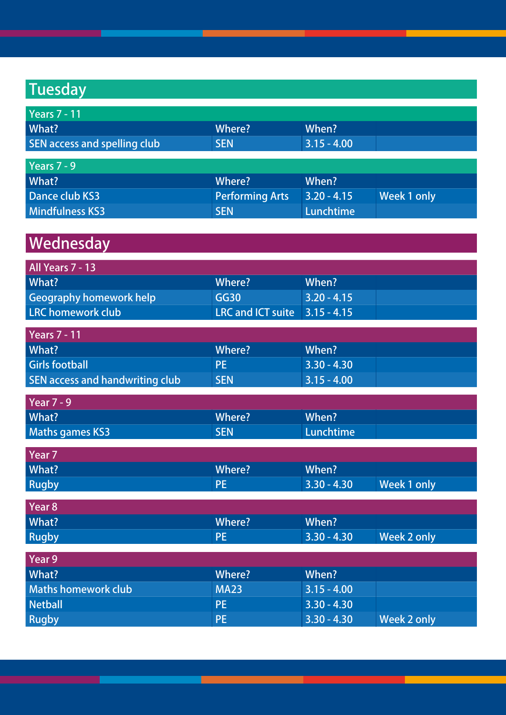## **Tuesday**

| <b>Years 7 - 11</b>                    |                               |               |                    |
|----------------------------------------|-------------------------------|---------------|--------------------|
| What?                                  | Where?                        | When?         |                    |
| <b>SEN access and spelling club</b>    | <b>SEN</b>                    | $3.15 - 4.00$ |                    |
|                                        |                               |               |                    |
| Years $7 - 9$                          |                               |               |                    |
| What?                                  | Where?                        | When?         |                    |
| <b>Dance club KS3</b>                  | <b>Performing Arts</b>        | $3.20 - 4.15$ | <b>Week 1 only</b> |
| <b>Mindfulness KS3</b>                 | <b>SEN</b>                    | Lunchtime     |                    |
|                                        |                               |               |                    |
| Wednesday                              |                               |               |                    |
| All Years 7 - 13                       |                               |               |                    |
| What?                                  | <b>Where?</b>                 | When?         |                    |
| <b>Geography homework help</b>         | <b>GG30</b>                   | $3.20 - 4.15$ |                    |
| <b>LRC</b> homework club               | LRC and ICT suite 3.15 - 4.15 |               |                    |
|                                        |                               |               |                    |
| <b>Years 7 - 11</b>                    |                               |               |                    |
| What?                                  | Where?                        | When?         |                    |
| <b>Girls football</b>                  | <b>PE</b>                     | $3.30 - 4.30$ |                    |
| <b>SEN access and handwriting club</b> | <b>SEN</b>                    | $3.15 - 4.00$ |                    |
| <b>Year 7 - 9</b>                      |                               |               |                    |
| What?                                  | <b>Where?</b>                 | When?         |                    |
| <b>Maths games KS3</b>                 | <b>SEN</b>                    | Lunchtime     |                    |
|                                        |                               |               |                    |
| Year <sub>7</sub>                      |                               |               |                    |
| What?                                  | <b>Where?</b>                 | When?         |                    |
| <b>Rugby</b>                           | PE.                           | $3.30 - 4.30$ | <b>Week 1 only</b> |
| Year 8                                 |                               |               |                    |
| What?                                  | <b>Where?</b>                 | When?         |                    |
| <b>Rugby</b>                           | <b>PE</b>                     | $3.30 - 4.30$ | <b>Week 2 only</b> |
|                                        |                               |               |                    |
| Year 9                                 |                               |               |                    |
| What?                                  | <b>Where?</b>                 | When?         |                    |
| <b>Maths homework club</b>             | <b>MA23</b>                   | $3.15 - 4.00$ |                    |
| <b>Netball</b>                         | <b>PE</b>                     | $3.30 - 4.30$ |                    |
| <b>Rugby</b>                           | <b>PE</b>                     | $3.30 - 4.30$ | <b>Week 2 only</b> |